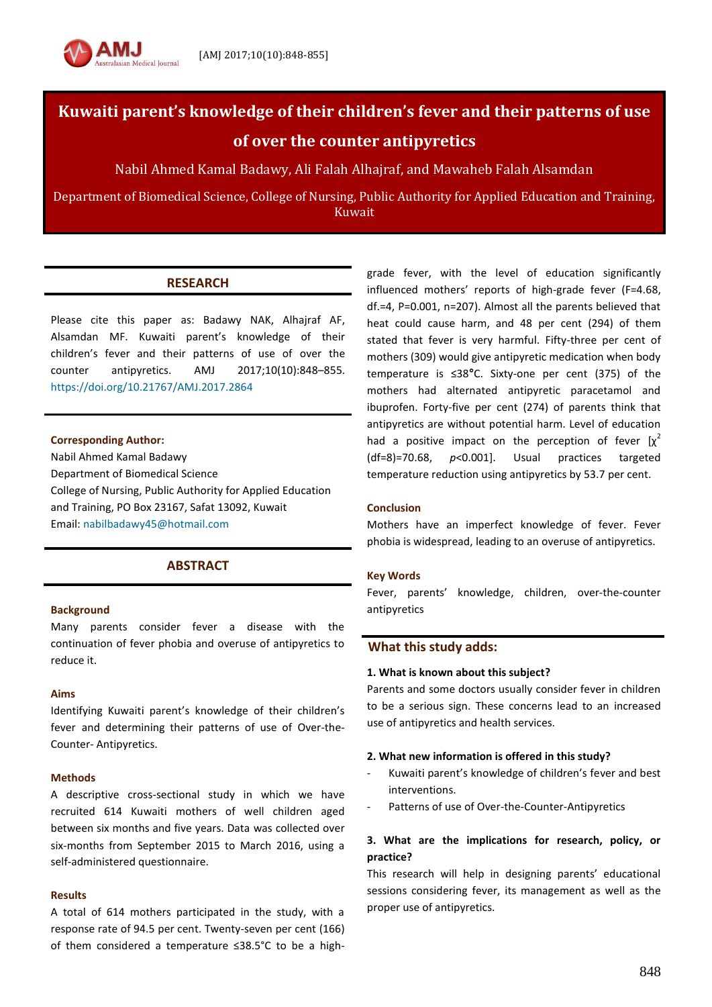

# **Kuwaiti parent's knowledge of their children's fever and their patterns of use of over the counter antipyretics**

Nabil Ahmed Kamal Badawy, Ali Falah Alhajraf, and Mawaheb Falah Alsamdan

Department of Biomedical Science, College of Nursing, Public Authority for Applied Education and Training, Kuwait

# **RESEARCH**

Please cite this paper as: Badawy NAK, Alhajraf AF, Alsamdan MF. Kuwaiti parent's knowledge of their children's fever and their patterns of use of over the counter antipyretics. AMJ 2017;10(10):848–855. <https://doi.org/10.21767/AMJ.2017.2864>

# **Corresponding Author:**

Nabil Ahmed Kamal Badawy Department of Biomedical Science College of Nursing, Public Authority for Applied Education and Training, PO Box 23167, Safat 13092, Kuwait Email[: nabilbadawy45@hotmail.com](mailto:nabilbadawy45@hotmail.com)

# **ABSTRACT**

# **Background**

Many parents consider fever a disease with the continuation of fever phobia and overuse of antipyretics to reduce it.

#### **Aims**

Identifying Kuwaiti parent's knowledge of their children's fever and determining their patterns of use of Over-the-Counter- Antipyretics.

#### **Methods**

A descriptive cross-sectional study in which we have recruited 614 Kuwaiti mothers of well children aged between six months and five years. Data was collected over six-months from September 2015 to March 2016, using a self-administered questionnaire.

#### **Results**

A total of 614 mothers participated in the study, with a response rate of 94.5 per cent. Twenty-seven per cent (166) of them considered a temperature ≤38.5°C to be a highgrade fever, with the level of education significantly influenced mothers' reports of high-grade fever (F=4.68, df.=4, P=0.001, n=207). Almost all the parents believed that heat could cause harm, and 48 per cent (294) of them stated that fever is very harmful. Fifty-three per cent of mothers (309) would give antipyretic medication when body temperature is ≤38**°**C. Sixty-one per cent (375) of the mothers had alternated antipyretic paracetamol and ibuprofen. Forty-five per cent (274) of parents think that antipyretics are without potential harm. Level of education had a positive impact on the perception of fever  $[x^2]$ (df=8)=70.68, *p*<0.001]. Usual practices targeted temperature reduction using antipyretics by 53.7 per cent.

# **Conclusion**

Mothers have an imperfect knowledge of fever. Fever phobia is widespread, leading to an overuse of antipyretics.

# **Key Words**

Fever, parents' knowledge, children, over-the-counter antipyretics

# **What this study adds:**

# **1. What is known about this subject?**

Parents and some doctors usually consider fever in children to be a serious sign. These concerns lead to an increased use of antipyretics and health services.

#### **2. What new information is offered in this study?**

- Kuwaiti parent's knowledge of children's fever and best interventions.
- Patterns of use of Over-the-Counter-Antipyretics

# **3. What are the implications for research, policy, or practice?**

This research will help in designing parents' educational sessions considering fever, its management as well as the proper use of antipyretics.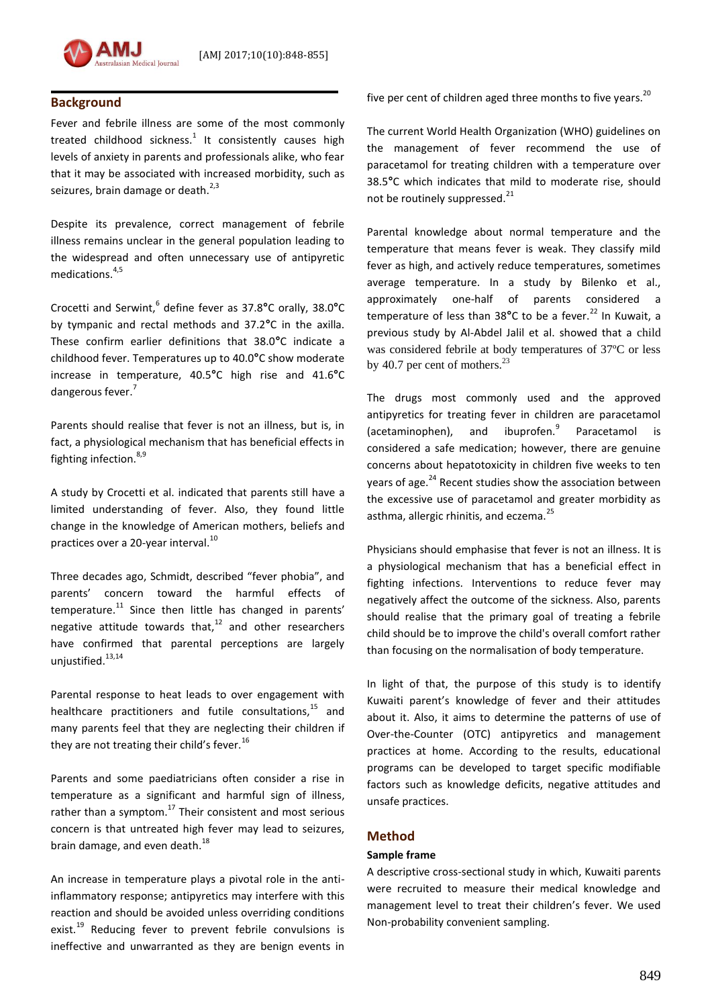

# **Background**

Fever and febrile illness are some of the most commonly treated childhood sickness.<sup>1</sup> It consistently causes high levels of anxiety in parents and professionals alike, who fear that it may be associated with increased morbidity, such as seizures, brain damage or death.<sup>2,3</sup>

Despite its prevalence, correct management of febrile illness remains unclear in the general population leading to the widespread and often unnecessary use of antipyretic medications.4,5

Crocetti and Serwint,<sup>6</sup> define fever as 37.8**°**C orally, 38.0**°**C by tympanic and rectal methods and 37.2**°**C in the axilla. These confirm earlier definitions that 38.0**°**C indicate a childhood fever. Temperatures up to 40.0**°**C show moderate increase in temperature, 40.5**°**C high rise and 41.6**°**C dangerous fever.<sup>7</sup>

Parents should realise that fever is not an illness, but is, in fact, a physiological mechanism that has beneficial effects in fighting infection.<sup>8,9</sup>

A study by Crocetti et al. indicated that parents still have a limited understanding of fever. Also, they found little change in the knowledge of American mothers, beliefs and practices over a 20-year interval.<sup>10</sup>

Three decades ago, Schmidt, described "fever phobia", and parents' concern toward the harmful effects of temperature.<sup>11</sup> Since then little has changed in parents' negative attitude towards that, $12$  and other researchers have confirmed that parental perceptions are largely unjustified.<sup>13,14</sup>

Parental response to heat leads to over engagement with healthcare practitioners and futile consultations,<sup>15</sup> and many parents feel that they are neglecting their children if they are not treating their child's fever.<sup>16</sup>

Parents and some paediatricians often consider a rise in temperature as a significant and harmful sign of illness, rather than a symptom. $17$  Their consistent and most serious concern is that untreated high fever may lead to seizures, brain damage, and even death.<sup>18</sup>

An increase in temperature plays a pivotal role in the antiinflammatory response; antipyretics may interfere with this reaction and should be avoided unless overriding conditions exist.<sup>19</sup> Reducing fever to prevent febrile convulsions is ineffective and unwarranted as they are benign events in five per cent of children aged three months to five years.<sup>20</sup>

The current World Health Organization (WHO) guidelines on the management of fever recommend the use of paracetamol for treating children with a temperature over 38.5**°**C which indicates that mild to moderate rise, should not be routinely suppressed.<sup>21</sup>

Parental knowledge about normal temperature and the temperature that means fever is weak. They classify mild fever as high, and actively reduce temperatures, sometimes average temperature. In a study by Bilenko et al., approximately one-half of parents considered a temperature of less than 38°C to be a fever.<sup>22</sup> In Kuwait, a previous study by Al-Abdel Jalil et al. showed that a child was considered febrile at body temperatures of 37ºC or less by 40.7 per cent of mothers. $^{23}$ 

The drugs most commonly used and the approved antipyretics for treating fever in children are paracetamol (acetaminophen), and ibuprofen.<sup>9</sup> Paracetamol is considered a safe medication; however, there are genuine concerns about hepatotoxicity in children five weeks to ten years of age.<sup>24</sup> Recent studies show the association between the excessive use of paracetamol and greater morbidity as asthma, allergic rhinitis, and eczema.<sup>25</sup>

Physicians should emphasise that fever is not an illness. It is a physiological mechanism that has a beneficial effect in fighting infections. Interventions to reduce fever may negatively affect the outcome of the sickness. Also, parents should realise that the primary goal of treating a febrile child should be to improve the child's overall comfort rather than focusing on the normalisation of body temperature.

In light of that, the purpose of this study is to identify Kuwaiti parent's knowledge of fever and their attitudes about it. Also, it aims to determine the patterns of use of Over-the-Counter (OTC) antipyretics and management practices at home. According to the results, educational programs can be developed to target specific modifiable factors such as knowledge deficits, negative attitudes and unsafe practices.

# **Method**

# **Sample frame**

A descriptive cross-sectional study in which, Kuwaiti parents were recruited to measure their medical knowledge and management level to treat their children's fever. We used Non-probability convenient sampling.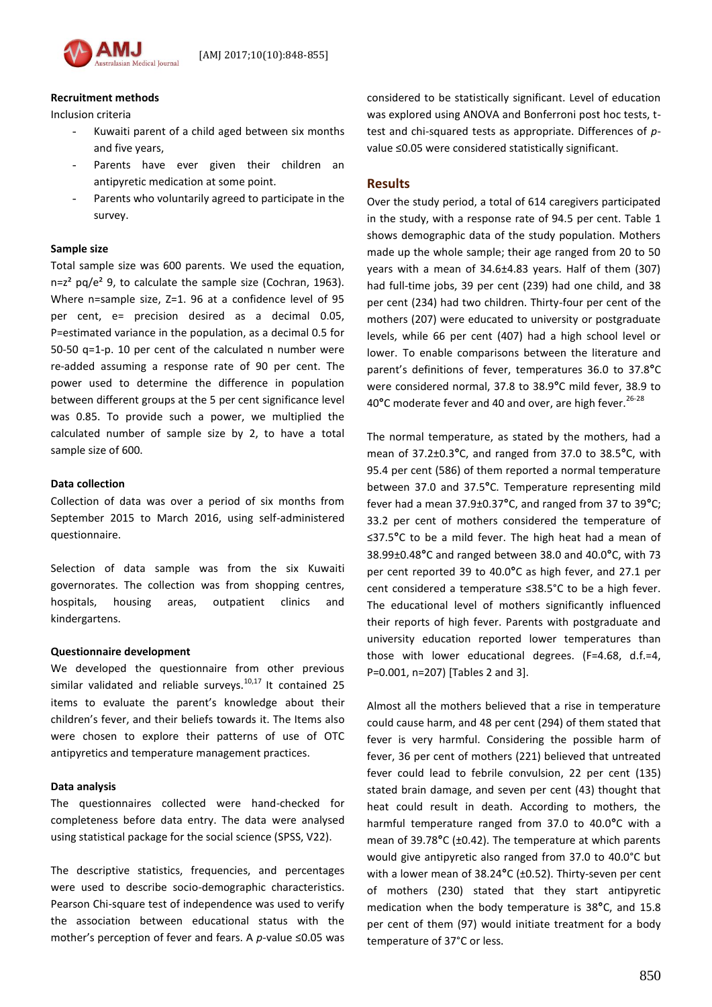

# **Recruitment methods**

Inclusion criteria

- Kuwaiti parent of a child aged between six months and five years,
- Parents have ever given their children an antipyretic medication at some point.
- Parents who voluntarily agreed to participate in the survey.

#### **Sample size**

Total sample size was 600 parents. We used the equation,  $n=z<sup>2</sup>$  pq/e<sup>2</sup> 9, to calculate the sample size (Cochran, 1963). Where n=sample size, Z=1. 96 at a confidence level of 95 per cent, e= precision desired as a decimal 0.05, P=estimated variance in the population, as a decimal 0.5 for 50-50 q=1-p. 10 per cent of the calculated n number were re-added assuming a response rate of 90 per cent. The power used to determine the difference in population between different groups at the 5 per cent significance level was 0.85. To provide such a power, we multiplied the calculated number of sample size by 2, to have a total sample size of 600.

#### **Data collection**

Collection of data was over a period of six months from September 2015 to March 2016, using self-administered questionnaire.

Selection of data sample was from the six Kuwaiti governorates. The collection was from shopping centres, hospitals, housing areas, outpatient clinics and kindergartens.

#### **Questionnaire development**

We developed the questionnaire from other previous similar validated and reliable surveys. $10,17$  It contained 25 items to evaluate the parent's knowledge about their children's fever, and their beliefs towards it. The Items also were chosen to explore their patterns of use of OTC antipyretics and temperature management practices.

#### **Data analysis**

The questionnaires collected were hand-checked for completeness before data entry. The data were analysed using statistical package for the social science (SPSS, V22).

The descriptive statistics, frequencies, and percentages were used to describe socio-demographic characteristics. Pearson Chi-square test of independence was used to verify the association between educational status with the mother's perception of fever and fears. A *p*-value ≤0.05 was considered to be statistically significant. Level of education was explored using ANOVA and Bonferroni post hoc tests, ttest and chi-squared tests as appropriate. Differences of *p*value ≤0.05 were considered statistically significant.

# **Results**

Over the study period, a total of 614 caregivers participated in the study, with a response rate of 94.5 per cent. Table 1 shows demographic data of the study population. Mothers made up the whole sample; their age ranged from 20 to 50 years with a mean of 34.6±4.83 years. Half of them (307) had full-time jobs, 39 per cent (239) had one child, and 38 per cent (234) had two children. Thirty-four per cent of the mothers (207) were educated to university or postgraduate levels, while 66 per cent (407) had a high school level or lower. To enable comparisons between the literature and parent's definitions of fever, temperatures 36.0 to 37.8**°**C were considered normal, 37.8 to 38.9**°**C mild fever, 38.9 to 40**°**C moderate fever and 40 and over, are high fever.26-28

The normal temperature, as stated by the mothers, had a mean of 37.2±0.3**°**C, and ranged from 37.0 to 38.5**°**C, with 95.4 per cent (586) of them reported a normal temperature between 37.0 and 37.5**°**C. Temperature representing mild fever had a mean 37.9±0.37**°**C, and ranged from 37 to 39**°**C; 33.2 per cent of mothers considered the temperature of ≤37.5**°**C to be a mild fever. The high heat had a mean of 38.99±0.48**°**C and ranged between 38.0 and 40.0**°**C, with 73 per cent reported 39 to 40.0**°**C as high fever, and 27.1 per cent considered a temperature ≤38.5°C to be a high fever. The educational level of mothers significantly influenced their reports of high fever. Parents with postgraduate and university education reported lower temperatures than those with lower educational degrees. (F=4.68, d.f.=4, P=0.001, n=207) [Tables 2 and 3].

Almost all the mothers believed that a rise in temperature could cause harm, and 48 per cent (294) of them stated that fever is very harmful. Considering the possible harm of fever, 36 per cent of mothers (221) believed that untreated fever could lead to febrile convulsion, 22 per cent (135) stated brain damage, and seven per cent (43) thought that heat could result in death. According to mothers, the harmful temperature ranged from 37.0 to 40.0**°**C with a mean of 39.78**°**C (±0.42). The temperature at which parents would give antipyretic also ranged from 37.0 to 40.0°C but with a lower mean of 38.24**°**C (±0.52). Thirty-seven per cent of mothers (230) stated that they start antipyretic medication when the body temperature is 38**°**C, and 15.8 per cent of them (97) would initiate treatment for a body temperature of 37°C or less.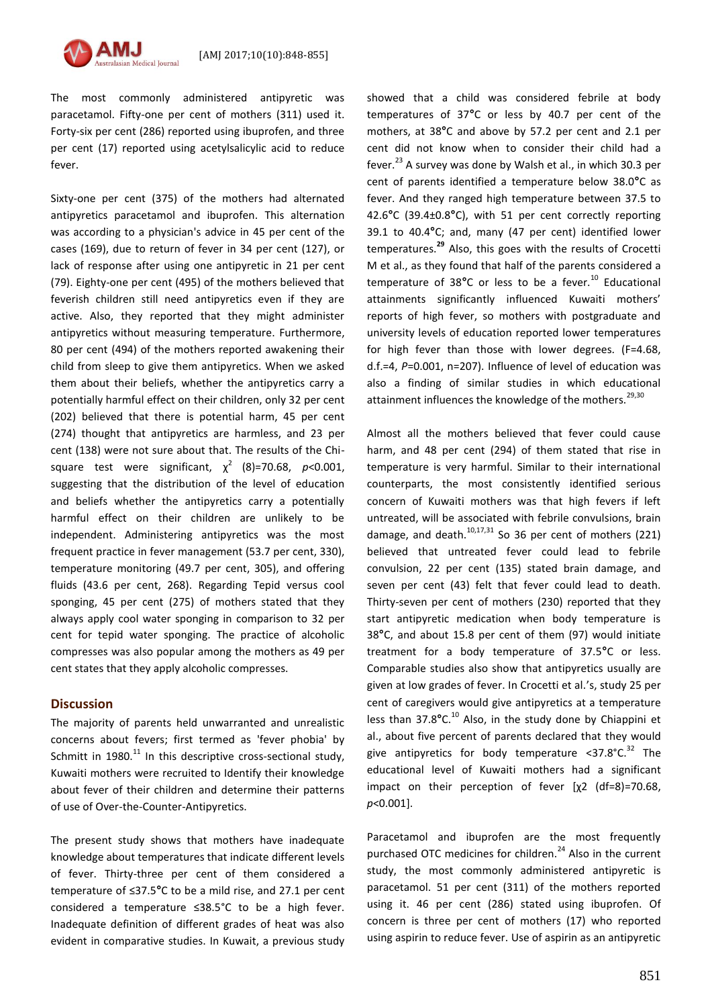The most commonly administered antipyretic was paracetamol. Fifty-one per cent of mothers (311) used it. Forty-six per cent (286) reported using ibuprofen, and three per cent (17) reported using acetylsalicylic acid to reduce fever.

Sixty-one per cent (375) of the mothers had alternated antipyretics paracetamol and ibuprofen. This alternation was according to a physician's advice in 45 per cent of the cases (169), due to return of fever in 34 per cent (127), or lack of response after using one antipyretic in 21 per cent (79). Eighty-one per cent (495) of the mothers believed that feverish children still need antipyretics even if they are active. Also, they reported that they might administer antipyretics without measuring temperature. Furthermore, 80 per cent (494) of the mothers reported awakening their child from sleep to give them antipyretics. When we asked them about their beliefs, whether the antipyretics carry a potentially harmful effect on their children, only 32 per cent (202) believed that there is potential harm, 45 per cent (274) thought that antipyretics are harmless, and 23 per cent (138) were not sure about that. The results of the Chisquare test were significant,  $\chi^2$  (8)=70.68, *p*<0.001, suggesting that the distribution of the level of education and beliefs whether the antipyretics carry a potentially harmful effect on their children are unlikely to be independent. Administering antipyretics was the most frequent practice in fever management (53.7 per cent, 330), temperature monitoring (49.7 per cent, 305), and offering fluids (43.6 per cent, 268). Regarding Tepid versus cool sponging, 45 per cent (275) of mothers stated that they always apply cool water sponging in comparison to 32 per cent for tepid water sponging. The practice of alcoholic compresses was also popular among the mothers as 49 per cent states that they apply alcoholic compresses.

# **Discussion**

The majority of parents held unwarranted and unrealistic concerns about fevers; first termed as 'fever phobia' by Schmitt in 1980. $^{11}$  In this descriptive cross-sectional study, Kuwaiti mothers were recruited to Identify their knowledge about fever of their children and determine their patterns of use of Over-the-Counter-Antipyretics.

The present study shows that mothers have inadequate knowledge about temperatures that indicate different levels of fever. Thirty-three per cent of them considered a temperature of ≤37.5**°**C to be a mild rise, and 27.1 per cent considered a temperature ≤38.5°C to be a high fever. Inadequate definition of different grades of heat was also evident in comparative studies. In Kuwait, a previous study

showed that a child was considered febrile at body temperatures of 37**°**C or less by 40.7 per cent of the mothers, at 38**°**C and above by 57.2 per cent and 2.1 per cent did not know when to consider their child had a fever.<sup>23</sup> A survey was done by Walsh et al., in which 30.3 per cent of parents identified a temperature below 38.0**°**C as fever. And they ranged high temperature between 37.5 to 42.6**°**C (39.4±0.8**°**C), with 51 per cent correctly reporting 39.1 to 40.4**°**C; and, many (47 per cent) identified lower temperatures.**<sup>92</sup>** Also, this goes with the results of Crocetti M et al., as they found that half of the parents considered a temperature of 38°C or less to be a fever.<sup>10</sup> Educational attainments significantly influenced Kuwaiti mothers' reports of high fever, so mothers with postgraduate and university levels of education reported lower temperatures for high fever than those with lower degrees. (F=4.68, d.f.=4, *P*=0.001, n=207). Influence of level of education was also a finding of similar studies in which educational attainment influences the knowledge of the mothers.<sup>29,30</sup>

Almost all the mothers believed that fever could cause harm, and 48 per cent (294) of them stated that rise in temperature is very harmful. Similar to their international counterparts, the most consistently identified serious concern of Kuwaiti mothers was that high fevers if left untreated, will be associated with febrile convulsions, brain damage, and death. $10,17,31$  So 36 per cent of mothers (221) believed that untreated fever could lead to febrile convulsion, 22 per cent (135) stated brain damage, and seven per cent (43) felt that fever could lead to death. Thirty-seven per cent of mothers (230) reported that they start antipyretic medication when body temperature is 38**°**C, and about 15.8 per cent of them (97) would initiate treatment for a body temperature of 37.5**°**C or less. Comparable studies also show that antipyretics usually are given at low grades of fever. In Crocetti et al.'s, study 25 per cent of caregivers would give antipyretics at a temperature less than 37.8°C.<sup>10</sup> Also, in the study done by Chiappini et al., about five percent of parents declared that they would give antipyretics for body temperature  $\leq 37.8^{\circ} \text{C}^{32}$  The educational level of Kuwaiti mothers had a significant impact on their perception of fever [χ2 (df=8)=70.68, *p*<0.001].

Paracetamol and ibuprofen are the most frequently purchased OTC medicines for children.<sup>24</sup> Also in the current study, the most commonly administered antipyretic is paracetamol. 51 per cent (311) of the mothers reported using it. 46 per cent (286) stated using ibuprofen. Of concern is three per cent of mothers (17) who reported using aspirin to reduce fever. Use of aspirin as an antipyretic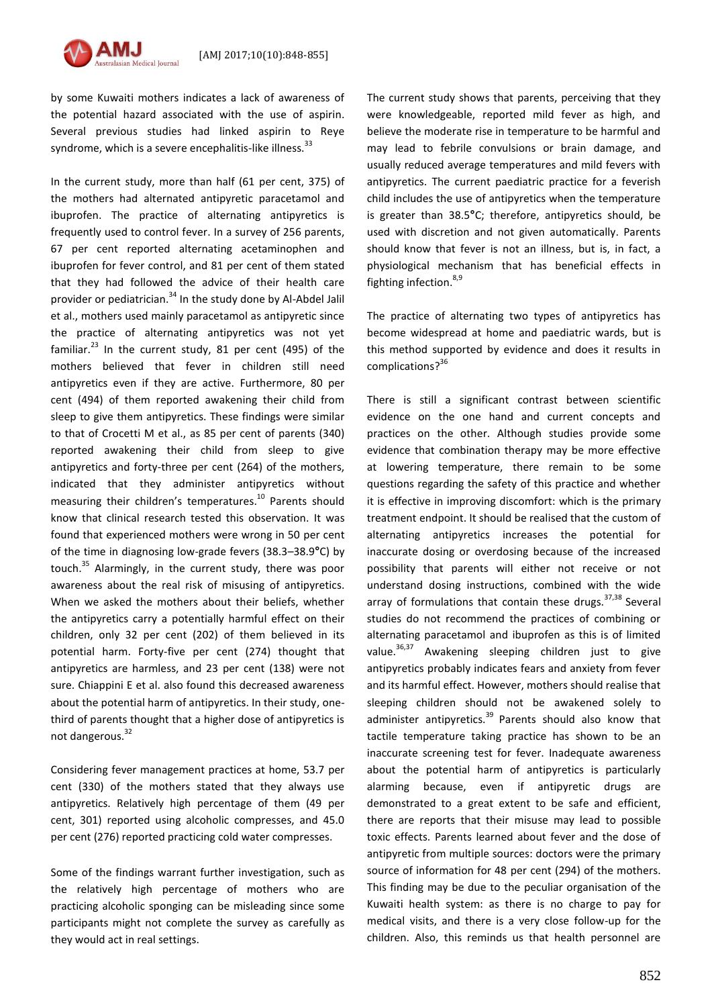

by some Kuwaiti mothers indicates a lack of awareness of the potential hazard associated with the use of aspirin. Several previous studies had linked aspirin to Reye syndrome, which is a severe encephalitis-like illness.<sup>33</sup>

In the current study, more than half (61 per cent, 375) of the mothers had alternated antipyretic paracetamol and ibuprofen. The practice of alternating antipyretics is frequently used to control fever. In a survey of 256 parents, 67 per cent reported alternating acetaminophen and ibuprofen for fever control, and 81 per cent of them stated that they had followed the advice of their health care provider or pediatrician.<sup>34</sup> In the study done by Al-Abdel Jalil et al., mothers used mainly paracetamol as antipyretic since the practice of alternating antipyretics was not yet familiar. $^{23}$  In the current study, 81 per cent (495) of the mothers believed that fever in children still need antipyretics even if they are active. Furthermore, 80 per cent (494) of them reported awakening their child from sleep to give them antipyretics. These findings were similar to that of Crocetti M et al., as 85 per cent of parents (340) reported awakening their child from sleep to give antipyretics and forty-three per cent (264) of the mothers, indicated that they administer antipyretics without measuring their children's temperatures. <sup>10</sup> Parents should know that clinical research tested this observation. It was found that experienced mothers were wrong in 50 per cent of the time in diagnosing low-grade fevers (38.3–38.9**°**C) by touch. $35$  Alarmingly, in the current study, there was poor awareness about the real risk of misusing of antipyretics. When we asked the mothers about their beliefs, whether the antipyretics carry a potentially harmful effect on their children, only 32 per cent (202) of them believed in its potential harm. Forty-five per cent (274) thought that antipyretics are harmless, and 23 per cent (138) were not sure. Chiappini E et al. also found this decreased awareness about the potential harm of antipyretics. In their study, onethird of parents thought that a higher dose of antipyretics is not dangerous.<sup>32</sup>

Considering fever management practices at home, 53.7 per cent (330) of the mothers stated that they always use antipyretics. Relatively high percentage of them (49 per cent, 301) reported using alcoholic compresses, and 45.0 per cent (276) reported practicing cold water compresses.

Some of the findings warrant further investigation, such as the relatively high percentage of mothers who are practicing alcoholic sponging can be misleading since some participants might not complete the survey as carefully as they would act in real settings.

The current study shows that parents, perceiving that they were knowledgeable, reported mild fever as high, and believe the moderate rise in temperature to be harmful and may lead to febrile convulsions or brain damage, and usually reduced average temperatures and mild fevers with antipyretics. The current paediatric practice for a feverish child includes the use of antipyretics when the temperature is greater than 38.5**°**C; therefore, antipyretics should, be used with discretion and not given automatically. Parents should know that fever is not an illness, but is, in fact, a physiological mechanism that has beneficial effects in fighting infection.  $8,9$ 

The practice of alternating two types of antipyretics has become widespread at home and paediatric wards, but is this method supported by evidence and does it results in complications? 36

There is still a significant contrast between scientific evidence on the one hand and current concepts and practices on the other. Although studies provide some evidence that combination therapy may be more effective at lowering temperature, there remain to be some questions regarding the safety of this practice and whether it is effective in improving discomfort: which is the primary treatment endpoint. It should be realised that the custom of alternating antipyretics increases the potential for inaccurate dosing or overdosing because of the increased possibility that parents will either not receive or not understand dosing instructions, combined with the wide array of formulations that contain these drugs.  $37,38$  Several studies do not recommend the practices of combining or alternating paracetamol and ibuprofen as this is of limited value.<sup>36,37</sup> Awakening sleeping children just to give antipyretics probably indicates fears and anxiety from fever and its harmful effect. However, mothers should realise that sleeping children should not be awakened solely to administer antipyretics. $39$  Parents should also know that tactile temperature taking practice has shown to be an inaccurate screening test for fever. Inadequate awareness about the potential harm of antipyretics is particularly alarming because, even if antipyretic drugs are demonstrated to a great extent to be safe and efficient, there are reports that their misuse may lead to possible toxic effects. Parents learned about fever and the dose of antipyretic from multiple sources: doctors were the primary source of information for 48 per cent (294) of the mothers. This finding may be due to the peculiar organisation of the Kuwaiti health system: as there is no charge to pay for medical visits, and there is a very close follow-up for the children. Also, this reminds us that health personnel are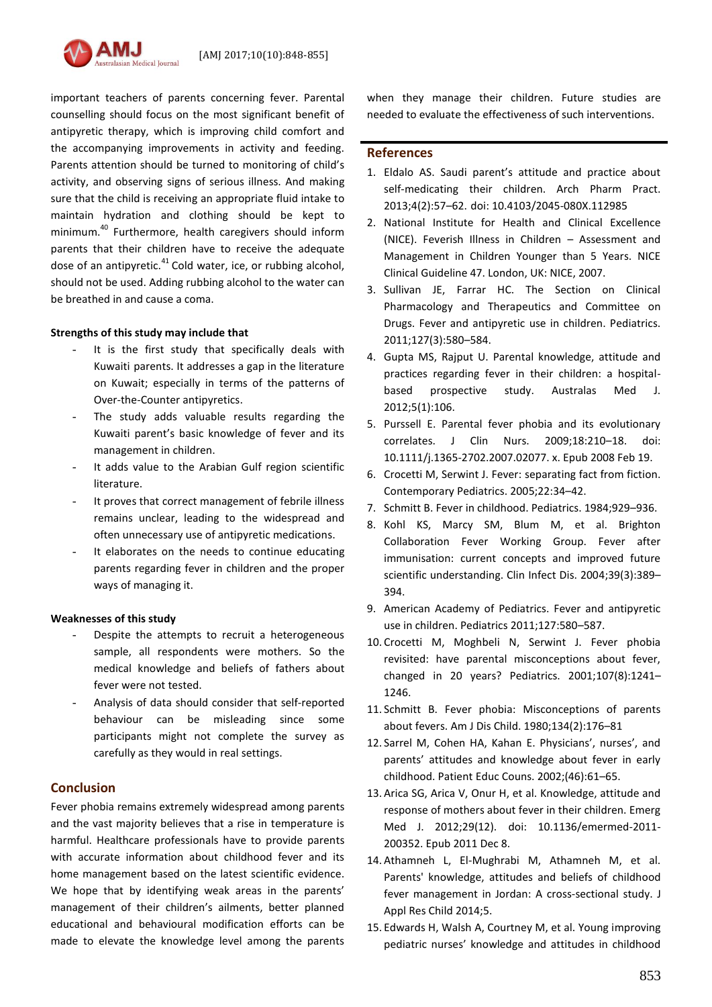

important teachers of parents concerning fever. Parental counselling should focus on the most significant benefit of antipyretic therapy, which is improving child comfort and the accompanying improvements in activity and feeding. Parents attention should be turned to monitoring of child's activity, and observing signs of serious illness. And making sure that the child is receiving an appropriate fluid intake to maintain hydration and clothing should be kept to minimum.<sup>40</sup> Furthermore, health caregivers should inform parents that their children have to receive the adequate dose of an antipyretic. $41$  Cold water, ice, or rubbing alcohol, should not be used. Adding rubbing alcohol to the water can be breathed in and cause a coma.

#### **Strengths of this study may include that**

- It is the first study that specifically deals with Kuwaiti parents. It addresses a gap in the literature on Kuwait; especially in terms of the patterns of Over-the-Counter antipyretics.
- The study adds valuable results regarding the Kuwaiti parent's basic knowledge of fever and its management in children.
- It adds value to the Arabian Gulf region scientific literature.
- It proves that correct management of febrile illness remains unclear, leading to the widespread and often unnecessary use of antipyretic medications.
- It elaborates on the needs to continue educating parents regarding fever in children and the proper ways of managing it.

# **Weaknesses of this study**

- Despite the attempts to recruit a heterogeneous sample, all respondents were mothers. So the medical knowledge and beliefs of fathers about fever were not tested.
- Analysis of data should consider that self-reported behaviour can be misleading since some participants might not complete the survey as carefully as they would in real settings.

# **Conclusion**

Fever phobia remains extremely widespread among parents and the vast majority believes that a rise in temperature is harmful. Healthcare professionals have to provide parents with accurate information about childhood fever and its home management based on the latest scientific evidence. We hope that by identifying weak areas in the parents' management of their children's ailments, better planned educational and behavioural modification efforts can be made to elevate the knowledge level among the parents

when they manage their children. Future studies are needed to evaluate the effectiveness of such interventions.

# **References**

- 1. Eldalo AS. Saudi parent's attitude and practice about self-medicating their children. Arch Pharm Pract. 2013;4(2):57–62. doi: 10.4103/2045-080X.112985
- 2. National Institute for Health and Clinical Excellence (NICE). Feverish Illness in Children – Assessment and Management in Children Younger than 5 Years. NICE Clinical Guideline 47. London, UK: NICE, 2007.
- 3. Sullivan JE, Farrar HC. The Section on Clinical Pharmacology and Therapeutics and Committee on Drugs. Fever and antipyretic use in children. Pediatrics. 2011;127(3):580–584.
- 4. Gupta MS, Rajput U. Parental knowledge, attitude and practices regarding fever in their children: a hospitalbased prospective study. Australas Med J. 2012;5(1):106.
- 5. Purssell E. Parental fever phobia and its evolutionary correlates. J Clin Nurs. 2009;18:210–18. doi: 10.1111/j.1365-2702.2007.02077. x. Epub 2008 Feb 19.
- 6. Crocetti M, Serwint J. Fever: separating fact from fiction. Contemporary Pediatrics. 2005;22:34–42.
- 7. Schmitt B. Fever in childhood. Pediatrics. 1984;929–936.
- 8. Kohl KS, Marcy SM, Blum M, et al. Brighton Collaboration Fever Working Group. Fever after immunisation: current concepts and improved future scientific understanding. Clin Infect Dis. 2004;39(3):389– 394.
- 9. American Academy of Pediatrics. Fever and antipyretic use in children. Pediatrics 2011;127:580–587.
- 10. Crocetti M, Moghbeli N, Serwint J. Fever phobia revisited: have parental misconceptions about fever, changed in 20 years? Pediatrics. 2001;107(8):1241– 1246.
- 11. Schmitt B. Fever phobia: Misconceptions of parents about fevers. Am J Dis Child. 1980;134(2):176–81
- 12. Sarrel M, Cohen HA, Kahan E. Physicians', nurses', and parents' attitudes and knowledge about fever in early childhood. Patient Educ Couns. 2002;(46):61–65.
- 13. Arica SG, Arica V, Onur H, et al. Knowledge, attitude and response of mothers about fever in their children. Emerg Med J. 2012;29(12). doi: 10.1136/emermed-2011- 200352. Epub 2011 Dec 8.
- 14. Athamneh L, El-Mughrabi M, Athamneh M, et al. Parents' knowledge, attitudes and beliefs of childhood fever management in Jordan: A cross-sectional study. J Appl Res Child 2014;5.
- 15. Edwards H, Walsh A, Courtney M, et al. Young improving pediatric nurses' knowledge and attitudes in childhood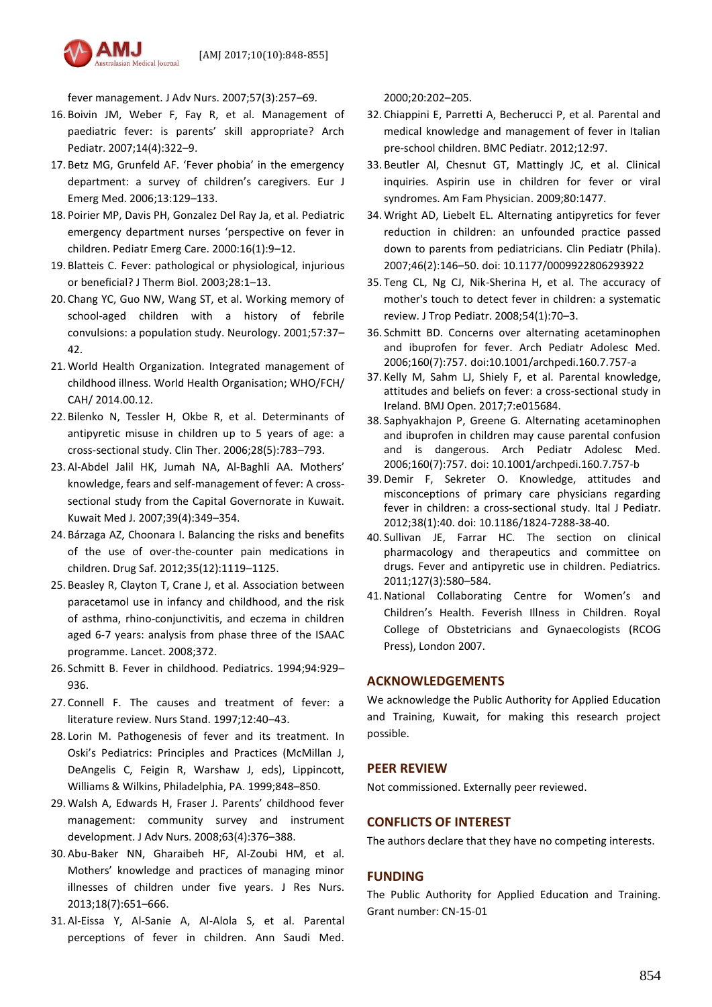

fever management. J Adv Nurs. 2007;57(3):257–69.

- 16. Boivin JM, Weber F, Fay R, et al. Management of paediatric fever: is parents' skill appropriate? Arch Pediatr. 2007;14(4):322–9.
- 17. Betz MG, Grunfeld AF. 'Fever phobia' in the emergency department: a survey of children's caregivers. Eur J Emerg Med. 2006;13:129–133.
- 18. Poirier MP, Davis PH, Gonzalez Del Ray Ja, et al. Pediatric emergency department nurses 'perspective on fever in children. Pediatr Emerg Care. 2000:16(1):9–12.
- 19. Blatteis C. Fever: pathological or physiological, injurious or beneficial? J Therm Biol. 2003;28:1–13.
- 20. Chang YC, Guo NW, Wang ST, et al. Working memory of school-aged children with a history of febrile convulsions: a population study. Neurology. 2001;57:37– 42.
- 21. World Health Organization. Integrated management of childhood illness. World Health Organisation; WHO/FCH/ CAH/ 2014.00.12.
- 22. Bilenko N, Tessler H, Okbe R, et al. Determinants of antipyretic misuse in children up to 5 years of age: a cross-sectional study. Clin Ther. 2006;28(5):783–793.
- 23. Al-Abdel Jalil HK, Jumah NA, Al-Baghli AA. Mothers' knowledge, fears and self-management of fever: A crosssectional study from the Capital Governorate in Kuwait. Kuwait Med J. 2007;39(4):349–354.
- 24. Bárzaga AZ, Choonara I. Balancing the risks and benefits of the use of over-the-counter pain medications in children. Drug Saf. 2012;35(12):1119–1125.
- 25. Beasley R, Clayton T, Crane J, et al. Association between paracetamol use in infancy and childhood, and the risk of asthma, rhino-conjunctivitis, and eczema in children aged 6-7 years: analysis from phase three of the ISAAC programme. Lancet. 2008;372.
- 26. Schmitt B. Fever in childhood. Pediatrics. 1994;94:929– 936.
- 27. Connell F. The causes and treatment of fever: a literature review. Nurs Stand. 1997;12:40–43.
- 28. Lorin M. Pathogenesis of fever and its treatment. In Oski's Pediatrics: Principles and Practices (McMillan J, DeAngelis C, Feigin R, Warshaw J, eds), Lippincott, Williams & Wilkins, Philadelphia, PA. 1999;848–850.
- 29. Walsh A, Edwards H, Fraser J. Parents' childhood fever management: community survey and instrument development. J Adv Nurs. 2008;63(4):376–388.
- 30. Abu-Baker NN, Gharaibeh HF, Al-Zoubi HM, et al. Mothers' knowledge and practices of managing minor illnesses of children under five years. J Res Nurs. 2013;18(7):651–666.
- 31. Al-Eissa Y, Al-Sanie A, Al-Alola S, et al. Parental perceptions of fever in children. Ann Saudi Med.

2000;20:202–205.

- 32. Chiappini E, Parretti A, Becherucci P, et al. Parental and medical knowledge and management of fever in Italian pre-school children. BMC Pediatr. 2012;12:97.
- 33. Beutler Al, Chesnut GT, Mattingly JC, et al. Clinical inquiries. Aspirin use in children for fever or viral syndromes. Am Fam Physician. 2009;80:1477.
- 34. Wright AD, Liebelt EL. Alternating antipyretics for fever reduction in children: an unfounded practice passed down to parents from pediatricians. Clin Pediatr (Phila). 2007;46(2):146–50. doi: [10.1177/0009922806293922](https://dx.doi.org/10.1177/0009922806293922)
- 35. Teng CL, Ng CJ, Nik-Sherina H, et al. The accuracy of mother's touch to detect fever in children: a systematic review. J Trop Pediatr. 2008;54(1):70–3.
- 36. Schmitt BD. Concerns over alternating acetaminophen and ibuprofen for fever. Arch Pediatr Adolesc Med. 2006;160(7):757. doi[:10.1001/archpedi.160.7.757-a](https://dx.doi.org/10.1001/archpedi.160.7.757-a)
- 37. Kelly M, Sahm LJ, Shiely F, et al. Parental knowledge, attitudes and beliefs on fever: a cross-sectional study in Ireland. BMJ Open. 2017;7:e015684.
- 38. Saphyakhajon P, Greene G. Alternating acetaminophen and ibuprofen in children may cause parental confusion and is dangerous. Arch Pediatr Adolesc Med. 2006;160(7):757. doi[: 10.1001/archpedi.160.7.757-b](https://dx.doi.org/10.1001/archpedi.160.7.757-b)
- 39. Demir F, Sekreter O. Knowledge, attitudes and misconceptions of primary care physicians regarding fever in children: a cross-sectional study. Ital J Pediatr. 2012;38(1):40. doi: 10.1186/1824-7288-38-40.
- 40. Sullivan JE, Farrar HC. The section on clinical pharmacology and therapeutics and committee on drugs. Fever and antipyretic use in children. Pediatrics. 2011;127(3):580–584.
- 41.National Collaborating Centre for Women's and Children's Health. Feverish Illness in Children. Royal College of Obstetricians and Gynaecologists (RCOG Press), London 2007.

# **ACKNOWLEDGEMENTS**

We acknowledge the Public Authority for Applied Education and Training, Kuwait, for making this research project possible.

# **PEER REVIEW**

Not commissioned. Externally peer reviewed.

# **CONFLICTS OF INTEREST**

The authors declare that they have no competing interests.

# **FUNDING**

The Public Authority for Applied Education and Training. Grant number: CN-15-01